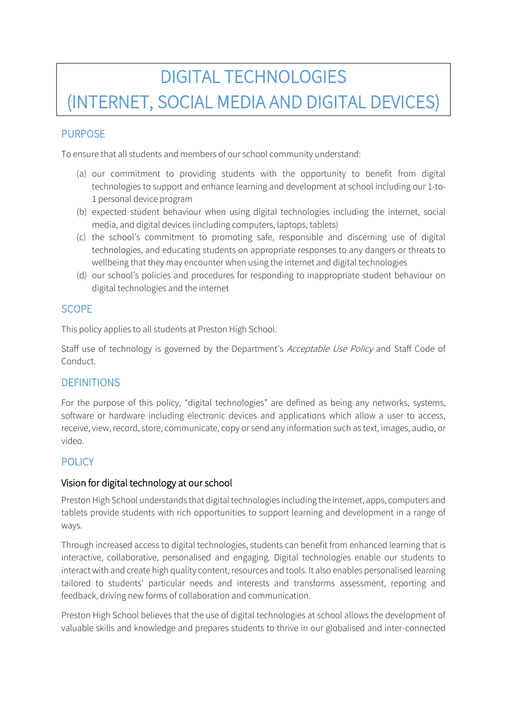# DIGITAL TECHNOLOGIES (INTERNET, SOCIAL MEDIA AND DIGITAL DEVICES)

# PURPOSE

To ensure that all students and members of our school community understand:

- (a) our commitment to providing students with the opportunity to benefit from digital technologies to support and enhance learning and development at school including our 1-to-1 personal device program
- (b) expected student behaviour when using digital technologies including the internet, social media, and digital devices (including computers, laptops, tablets)
- (c) the school's commitment to promoting safe, responsible and discerning use of digital technologies, and educating students on appropriate responses to any dangers or threats to wellbeing that they may encounter when using the internet and digital technologies
- (d) our school's policies and procedures for responding to inappropriate student behaviour on digital technologies and the internet

## **SCOPE**

This policy applies to all students at Preston High School.

Staff use of technology is governed by the Department's Acceptable Use Policy and Staff Code of Conduct.

## **DEFINITIONS**

For the purpose of this policy, "digital technologies" are defined as being any networks, systems, software or hardware including electronic devices and applications which allow a user to access, receive, view, record, store, communicate, copy or send any information such as text, images, audio, or video.

## POLICY

#### Vision for digital technology at our school

Preston High School understands that digital technologies including the internet, apps, computers and tablets provide students with rich opportunities to support learning and development in a range of ways.

Through increased access to digital technologies, students can benefit from enhanced learning that is interactive, collaborative, personalised and engaging. Digital technologies enable our students to interact with and create high quality content, resources and tools. It also enables personalised learning tailored to students' particular needs and interests and transforms assessment, reporting and feedback, driving new forms of collaboration and communication.

Preston High School believes that the use of digital technologies at school allows the development of valuable skills and knowledge and prepares students to thrive in our globalised and inter-connected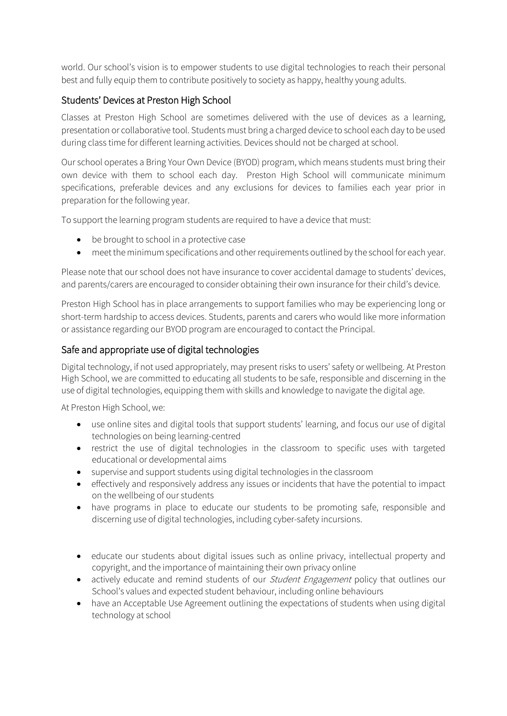world. Our school's vision is to empower students to use digital technologies to reach their personal best and fully equip them to contribute positively to society as happy, healthy young adults.

## Students' Devices at Preston High School

Classes at Preston High School are sometimes delivered with the use of devices as a learning, presentation or collaborative tool. Students must bring a charged device to school each day to be used during class time for different learning activities. Devices should not be charged at school.

Our school operates a Bring Your Own Device (BYOD) program, which means students must bring their own device with them to school each day. Preston High School will communicate minimum specifications, preferable devices and any exclusions for devices to families each year prior in preparation for the following year.

To support the learning program students are required to have a device that must:

- be brought to school in a protective case
- meet the minimum specifications and other requirements outlined by the school for each year.

Please note that our school does not have insurance to cover accidental damage to students' devices, and parents/carers are encouraged to consider obtaining their own insurance for their child's device.

Preston High School has in place arrangements to support families who may be experiencing long or short-term hardship to access devices. Students, parents and carers who would like more information or assistance regarding our BYOD program are encouraged to contact the Principal.

#### Safe and appropriate use of digital technologies

Digital technology, if not used appropriately, may present risks to users' safety or wellbeing. At Preston High School, we are committed to educating all students to be safe, responsible and discerning in the use of digital technologies, equipping them with skills and knowledge to navigate the digital age.

At Preston High School, we:

- use online sites and digital tools that support students' learning, and focus our use of digital technologies on being learning-centred
- restrict the use of digital technologies in the classroom to specific uses with targeted educational or developmental aims
- supervise and support students using digital technologies in the classroom
- effectively and responsively address any issues or incidents that have the potential to impact on the wellbeing of our students
- have programs in place to educate our students to be promoting safe, responsible and discerning use of digital technologies, including cyber-safety incursions.
- educate our students about digital issues such as online privacy, intellectual property and copyright, and the importance of maintaining their own privacy online
- actively educate and remind students of our *Student Engagement* policy that outlines our School's values and expected student behaviour, including online behaviours
- have an Acceptable Use Agreement outlining the expectations of students when using digital technology at school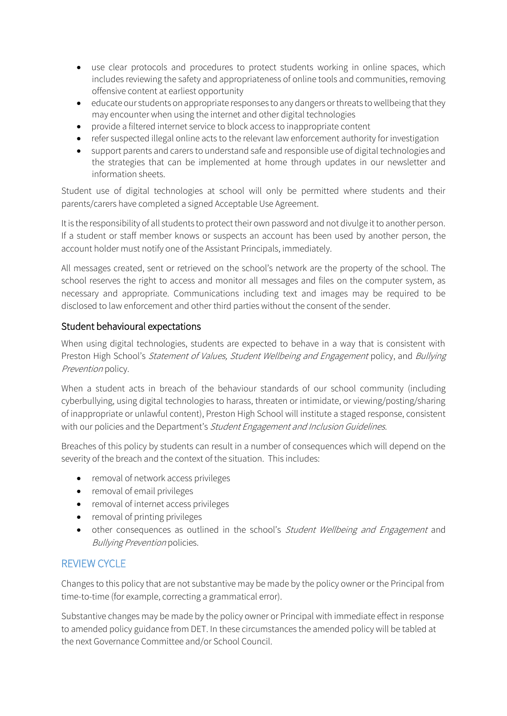- use clear protocols and procedures to protect students working in online spaces, which includes reviewing the safety and appropriateness of online tools and communities, removing offensive content at earliest opportunity
- educate our students on appropriate responses to any dangers or threats to wellbeing that they may encounter when using the internet and other digital technologies
- provide a filtered internet service to block access to inappropriate content
- refer suspected illegal online acts to the relevant law enforcement authority for investigation
- support parents and carers to understand safe and responsible use of digital technologies and the strategies that can be implemented at home through updates in our newsletter and information sheets.

Student use of digital technologies at school will only be permitted where students and their parents/carers have completed a signed Acceptable Use Agreement.

It is the responsibility of all students to protect their own password and not divulge it to another person. If a student or staff member knows or suspects an account has been used by another person, the account holder must notify one of the Assistant Principals, immediately.

All messages created, sent or retrieved on the school's network are the property of the school. The school reserves the right to access and monitor all messages and files on the computer system, as necessary and appropriate. Communications including text and images may be required to be disclosed to law enforcement and other third parties without the consent of the sender.

#### Student behavioural expectations

When using digital technologies, students are expected to behave in a way that is consistent with Preston High School's Statement of Values, Student Wellbeing and Engagement policy, and Bullying Prevention policy.

When a student acts in breach of the behaviour standards of our school community (including cyberbullying, using digital technologies to harass, threaten or intimidate, or viewing/posting/sharing of inappropriate or unlawful content), Preston High School will institute a staged response, consistent with our policies and the Department's Student Engagement and Inclusion Guidelines.

Breaches of this policy by students can result in a number of consequences which will depend on the severity of the breach and the context of the situation. This includes:

- removal of network access privileges
- removal of email privileges
- removal of internet access privileges
- removal of printing privileges
- other consequences as outlined in the school's *Student Wellbeing and Engagement* and Bullying Prevention policies.

#### REVIEW CYCLE

Changes to this policy that are not substantive may be made by the policy owner or the Principal from time-to-time (for example, correcting a grammatical error).

Substantive changes may be made by the policy owner or Principal with immediate effect in response to amended policy guidance from DET. In these circumstances the amended policy will be tabled at the next Governance Committee and/or School Council.